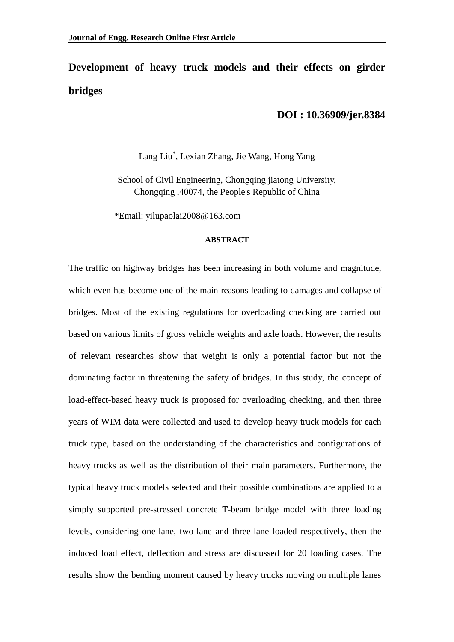# **Development of heavy truck models and their effects on girder bridges**

# **[DOI : 10.36909/jer.8384](https://doi.org/10.36909/jer.8384)**

Lang Liu\* , Lexian Zhang, Jie Wang, Hong Yang

School of Civil Engineering, Chongqing jiatong University, Chongqing ,40074, the People's Republic of China

\*Email: yilupaolai2008@163.com

#### **ABSTRACT**

The traffic on highway bridges has been increasing in both volume and magnitude, which even has become one of the main reasons leading to damages and collapse of bridges. Most of the existing regulations for overloading checking are carried out based on various limits of gross vehicle weights and axle loads. However, the results of relevant researches show that weight is only a potential factor but not the dominating factor in threatening the safety of bridges. In this study, the concept of load-effect-based heavy truck is proposed for overloading checking, and then three years of WIM data were collected and used to develop heavy truck models for each truck type, based on the understanding of the characteristics and configurations of heavy trucks as well as the distribution of their main parameters. Furthermore, the typical heavy truck models selected and their possible combinations are applied to a simply supported pre-stressed concrete T-beam bridge model with three loading levels, considering one-lane, two-lane and three-lane loaded respectively, then the induced load effect, deflection and stress are discussed for 20 loading cases. The results show the bending moment caused by heavy trucks moving on multiple lanes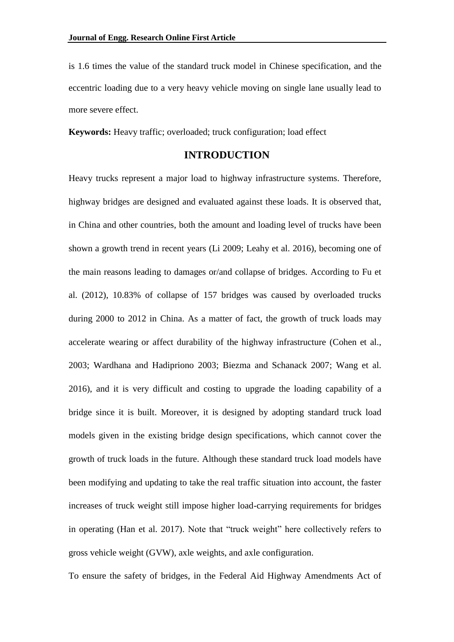is 1.6 times the value of the standard truck model in Chinese specification, and the eccentric loading due to a very heavy vehicle moving on single lane usually lead to more severe effect.

**Keywords:** Heavy traffic; overloaded; truck configuration; load effect

# **INTRODUCTION**

Heavy trucks represent a major load to highway infrastructure systems. Therefore, highway bridges are designed and evaluated against these loads. It is observed that, in China and other countries, both the amount and loading level of trucks have been shown a growth trend in recent years (Li 2009; Leahy et al. 2016), becoming one of the main reasons leading to damages or/and collapse of bridges. According to Fu et al. (2012), 10.83% of collapse of 157 bridges was caused by overloaded trucks during 2000 to 2012 in China. As a matter of fact, the growth of truck loads may accelerate wearing or affect durability of the highway infrastructure (Cohen et al., 2003; Wardhana and Hadipriono 2003; Biezma and Schanack 2007; Wang et al. 2016), and it is very difficult and costing to upgrade the loading capability of a bridge since it is built. Moreover, it is designed by adopting standard truck load models given in the existing bridge design specifications, which cannot cover the growth of truck loads in the future. Although these standard truck load models have been modifying and updating to take the real traffic situation into account, the faster increases of truck weight still impose higher load-carrying requirements for bridges in operating (Han et al. 2017). Note that "truck weight" here collectively refers to gross vehicle weight (GVW), axle weights, and axle configuration.

To ensure the safety of bridges, in the Federal Aid Highway Amendments Act of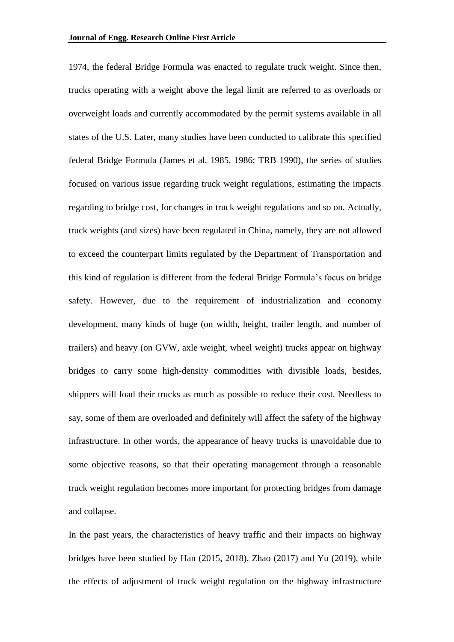1974, the federal Bridge Formula was enacted to regulate truck weight. Since then, trucks operating with a weight above the legal limit are referred to as overloads or overweight loads and currently accommodated by the permit systems available in all states of the U.S. Later, many studies have been conducted to calibrate this specified federal Bridge Formula (James et al. 1985, 1986; TRB 1990), the series of studies focused on various issue regarding truck weight regulations, estimating the impacts regarding to bridge cost, for changes in truck weight regulations and so on. Actually, truck weights (and sizes) have been regulated in China, namely, they are not allowed to exceed the counterpart limits regulated by the Department of Transportation and this kind of regulation is different from the federal Bridge Formula's focus on bridge safety. However, due to the requirement of industrialization and economy development, many kinds of huge (on width, height, trailer length, and number of trailers) and heavy (on GVW, axle weight, wheel weight) trucks appear on highway bridges to carry some high-density commodities with divisible loads, besides, shippers will load their trucks as much as possible to reduce their cost. Needless to say, some of them are overloaded and definitely will affect the safety of the highway infrastructure. In other words, the appearance of heavy trucks is unavoidable due to some objective reasons, so that their operating management through a reasonable truck weight regulation becomes more important for protecting bridges from damage and collapse.

In the past years, the characteristics of heavy traffic and their impacts on highway bridges have been studied by Han (2015, 2018), Zhao (2017) and Yu (2019), while the effects of adjustment of truck weight regulation on the highway infrastructure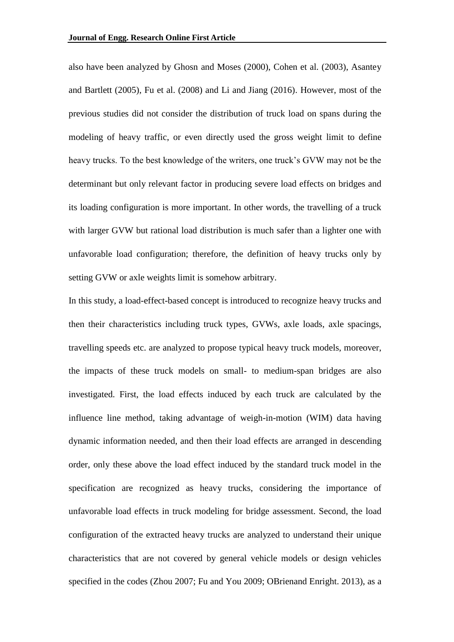also have been analyzed by Ghosn and Moses (2000), Cohen et al. (2003), Asantey and Bartlett (2005), Fu et al. (2008) and Li and Jiang (2016). However, most of the previous studies did not consider the distribution of truck load on spans during the modeling of heavy traffic, or even directly used the gross weight limit to define heavy trucks. To the best knowledge of the writers, one truck's GVW may not be the determinant but only relevant factor in producing severe load effects on bridges and its loading configuration is more important. In other words, the travelling of a truck with larger GVW but rational load distribution is much safer than a lighter one with unfavorable load configuration; therefore, the definition of heavy trucks only by setting GVW or axle weights limit is somehow arbitrary.

In this study, a load-effect-based concept is introduced to recognize heavy trucks and then their characteristics including truck types, GVWs, axle loads, axle spacings, travelling speeds etc. are analyzed to propose typical heavy truck models, moreover, the impacts of these truck models on small- to medium-span bridges are also investigated. First, the load effects induced by each truck are calculated by the influence line method, taking advantage of weigh-in-motion (WIM) data having dynamic information needed, and then their load effects are arranged in descending order, only these above the load effect induced by the standard truck model in the specification are recognized as heavy trucks, considering the importance of unfavorable load effects in truck modeling for bridge assessment. Second, the load configuration of the extracted heavy trucks are analyzed to understand their unique characteristics that are not covered by general vehicle models or design vehicles specified in the codes (Zhou 2007; Fu and You 2009; OBrienand Enright. 2013), as a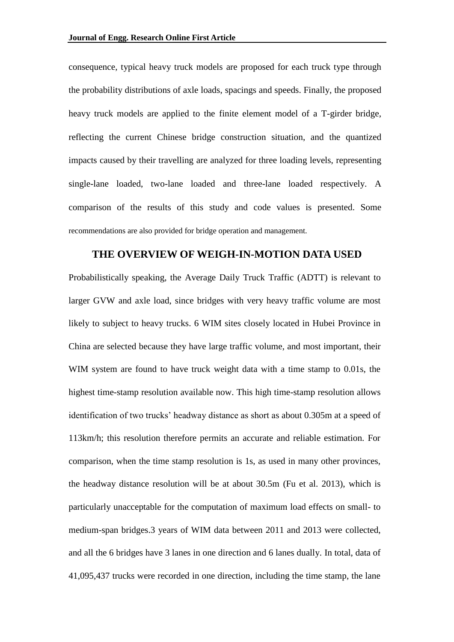consequence, typical heavy truck models are proposed for each truck type through the probability distributions of axle loads, spacings and speeds. Finally, the proposed heavy truck models are applied to the finite element model of a T-girder bridge, reflecting the current Chinese bridge construction situation, and the quantized impacts caused by their travelling are analyzed for three loading levels, representing single-lane loaded, two-lane loaded and three-lane loaded respectively. A comparison of the results of this study and code values is presented. Some recommendations are also provided for bridge operation and management.

### **THE OVERVIEW OF WEIGH-IN-MOTION DATA USED**

Probabilistically speaking, the Average Daily Truck Traffic (ADTT) is relevant to larger GVW and axle load, since bridges with very heavy traffic volume are most likely to subject to heavy trucks. 6 WIM sites closely located in Hubei Province in China are selected because they have large traffic volume, and most important, their WIM system are found to have truck weight data with a time stamp to 0.01s, the highest time-stamp resolution available now. This high time-stamp resolution allows identification of two trucks' headway distance as short as about 0.305m at a speed of 113km/h; this resolution therefore permits an accurate and reliable estimation. For comparison, when the time stamp resolution is 1s, as used in many other provinces, the headway distance resolution will be at about 30.5m (Fu et al. 2013), which is particularly unacceptable for the computation of maximum load effects on small- to medium-span bridges.3 years of WIM data between 2011 and 2013 were collected, and all the 6 bridges have 3 lanes in one direction and 6 lanes dually. In total, data of 41,095,437 trucks were recorded in one direction, including the time stamp, the lane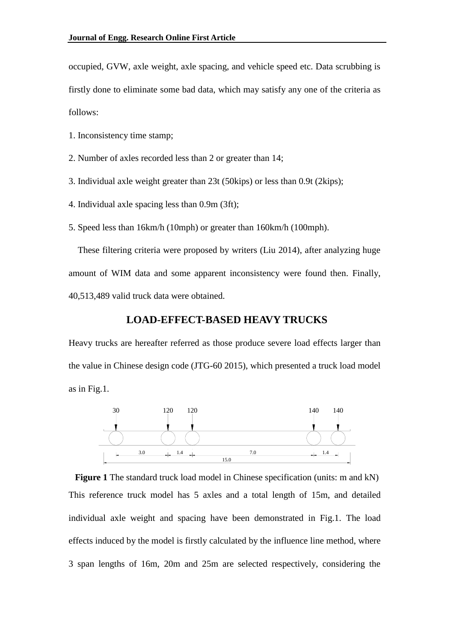occupied, GVW, axle weight, axle spacing, and vehicle speed etc. Data scrubbing is firstly done to eliminate some bad data, which may satisfy any one of the criteria as follows:

1. Inconsistency time stamp;

2. Number of axles recorded less than 2 or greater than 14;

3. Individual axle weight greater than 23t (50kips) or less than 0.9t (2kips);

4. Individual axle spacing less than 0.9m (3ft);

5. Speed less than 16km/h (10mph) or greater than 160km/h (100mph).

 These filtering criteria were proposed by writers (Liu 2014), after analyzing huge amount of WIM data and some apparent inconsistency were found then. Finally, 40,513,489 valid truck data were obtained.

#### **LOAD-EFFECT-BASED HEAVY TRUCKS**

Heavy trucks are hereafter referred as those produce severe load effects larger than the value in Chinese design code (JTG-60 2015), which presented a truck load model as in Fig.1.



**Figure 1** The standard truck load model in Chinese specification (units: m and kN) This reference truck model has 5 axles and a total length of 15m, and detailed individual axle weight and spacing have been demonstrated in Fig.1. The load effects induced by the model is firstly calculated by the influence line method, where 3 span lengths of 16m, 20m and 25m are selected respectively, considering the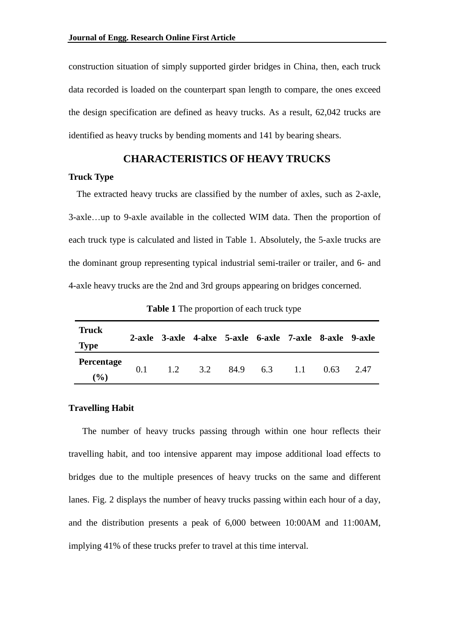construction situation of simply supported girder bridges in China, then, each truck data recorded is loaded on the counterpart span length to compare, the ones exceed the design specification are defined as heavy trucks. As a result, 62,042 trucks are identified as heavy trucks by bending moments and 141 by bearing shears.

# **CHARACTERISTICS OF HEAVY TRUCKS**

#### **Truck Type**

 The extracted heavy trucks are classified by the number of axles, such as 2-axle, 3-axle…up to 9-axle available in the collected WIM data. Then the proportion of each truck type is calculated and listed in Table 1. Absolutely, the 5-axle trucks are the dominant group representing typical industrial semi-trailer or trailer, and 6- and 4-axle heavy trucks are the 2nd and 3rd groups appearing on bridges concerned.

| <b>Truck</b><br><b>Type</b> |     | 2-axle 3-axle 4-alxe 5-axle 6-axle 7-axle 8-axle 9-axle |                                |  |      |      |
|-----------------------------|-----|---------------------------------------------------------|--------------------------------|--|------|------|
| <b>Percentage</b><br>$($ %) | 0.1 |                                                         | $1.2$ $3.2$ $84.9$ $6.3$ $1.1$ |  | 0.63 | 2.47 |

**Table 1** The proportion of each truck type

#### **Travelling Habit**

 The number of heavy trucks passing through within one hour reflects their travelling habit, and too intensive apparent may impose additional load effects to bridges due to the multiple presences of heavy trucks on the same and different lanes. Fig. 2 displays the number of heavy trucks passing within each hour of a day, and the distribution presents a peak of 6,000 between 10:00AM and 11:00AM, implying 41% of these trucks prefer to travel at this time interval.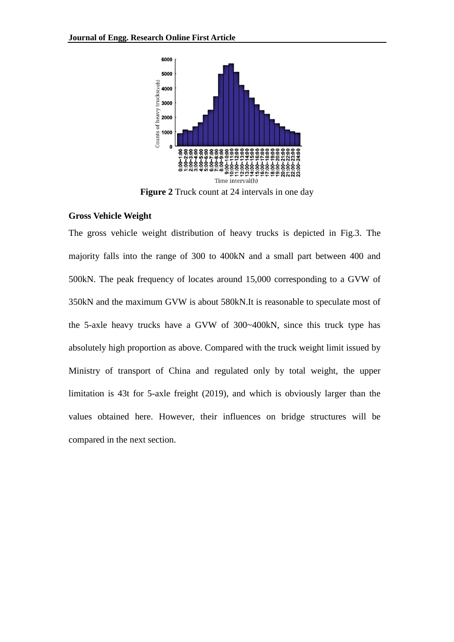

**Figure 2** Truck count at 24 intervals in one day

#### **Gross Vehicle Weight**

The gross vehicle weight distribution of heavy trucks is depicted in Fig.3. The majority falls into the range of 300 to 400kN and a small part between 400 and 500kN. The peak frequency of locates around 15,000 corresponding to a GVW of 350kN and the maximum GVW is about 580kN.It is reasonable to speculate most of the 5-axle heavy trucks have a GVW of 300~400kN, since this truck type has absolutely high proportion as above. Compared with the truck weight limit issued by Ministry of transport of China and regulated only by total weight, the upper limitation is 43t for 5-axle freight (2019), and which is obviously larger than the values obtained here. However, their influences on bridge structures will be compared in the next section.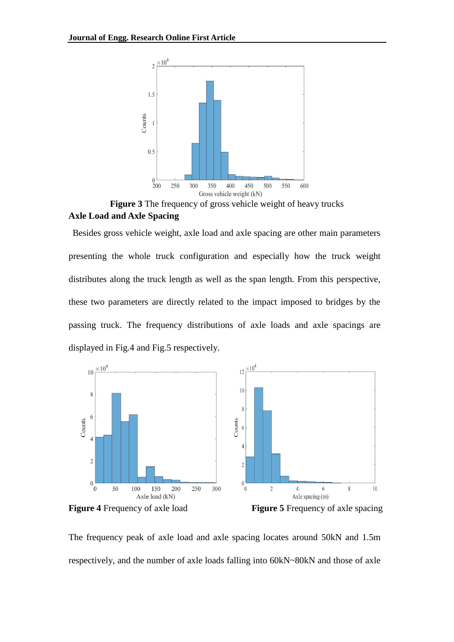

**Figure 3** The frequency of gross vehicle weight of heavy trucks **Axle Load and Axle Spacing**

Besides gross vehicle weight, axle load and axle spacing are other main parameters presenting the whole truck configuration and especially how the truck weight distributes along the truck length as well as the span length. From this perspective, these two parameters are directly related to the impact imposed to bridges by the passing truck. The frequency distributions of axle loads and axle spacings are displayed in Fig.4 and Fig.5 respectively.



The frequency peak of axle load and axle spacing locates around 50kN and 1.5m respectively, and the number of axle loads falling into 60kN~80kN and those of axle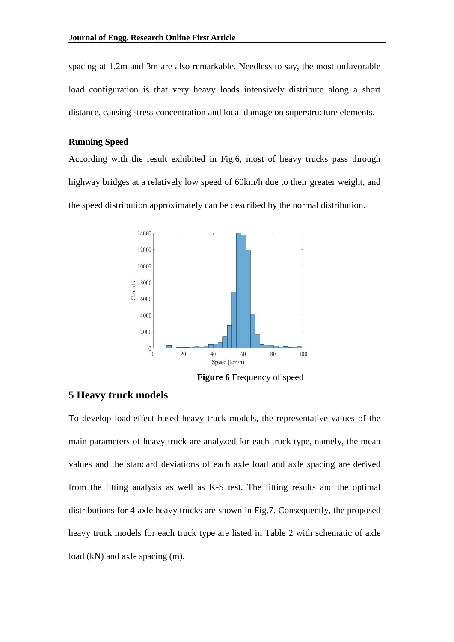spacing at 1.2m and 3m are also remarkable. Needless to say, the most unfavorable load configuration is that very heavy loads intensively distribute along a short distance, causing stress concentration and local damage on superstructure elements.

# **Running Speed**

According with the result exhibited in Fig.6, most of heavy trucks pass through highway bridges at a relatively low speed of 60km/h due to their greater weight, and the speed distribution approximately can be described by the normal distribution.



**Figure 6** Frequency of speed

# **5 Heavy truck models**

To develop load-effect based heavy truck models, the representative values of the main parameters of heavy truck are analyzed for each truck type, namely, the mean values and the standard deviations of each axle load and axle spacing are derived from the fitting analysis as well as K-S test. The fitting results and the optimal distributions for 4-axle heavy trucks are shown in Fig.7. Consequently, the proposed heavy truck models for each truck type are listed in Table 2 with schematic of axle load (kN) and axle spacing (m).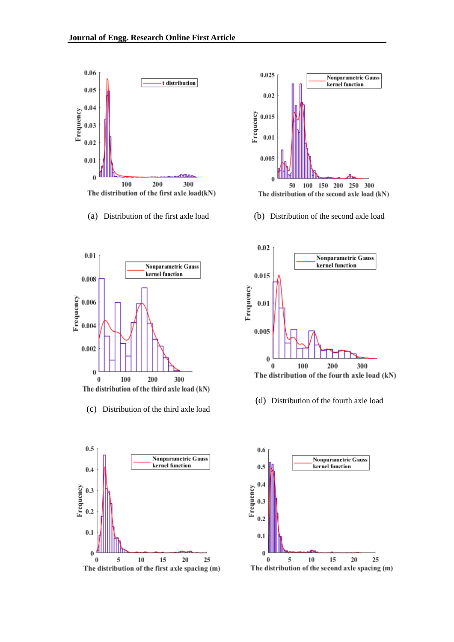



(c) Distribution of the third axle load





(a) Distribution of the first axle load (b) Distribution of the second axle load



(d) Distribution of the fourth axle load

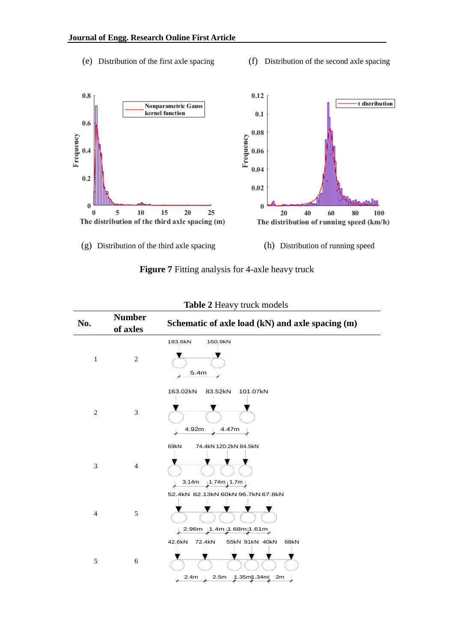(e) Distribution of the first axle spacing (f) Distribution of the second axle spacing



(g) Distribution of the third axle spacing (h) Distribution of running speed



| <b>Figure 7</b> Fitting analysis for 4-axle heavy truck |  |  |  |  |  |
|---------------------------------------------------------|--|--|--|--|--|
|---------------------------------------------------------|--|--|--|--|--|

| No.            | <b>Number</b><br>of axles | Schematic of axle load (kN) and axle spacing (m)                                            |
|----------------|---------------------------|---------------------------------------------------------------------------------------------|
| $\mathbf{1}$   | $\overline{2}$            | 183.6kN<br>160.9kN<br>5.4m                                                                  |
| $\sqrt{2}$     | $\overline{3}$            | 83.52kN<br>163.02kN<br>101.07kN<br>4.92m<br>4.47m                                           |
| 3              | $\overline{4}$            | 69kN<br>74.4kN 120.2kN 84.5kN<br>3.14m<br>$\left\lfloor \frac{1.74m}{2} \right\rfloor$ 1.7m |
| $\overline{4}$ | 5                         | 52.4kN 82.13kN 60kN 96.7kN 67.8kN<br>$\frac{2.96m}{\sqrt{1.4m}}$ 1.68m $\left[1.61m\right]$ |
| 5              | $\sqrt{6}$                | 72.4kN<br>42.6kN<br>55kN 91kN 40kN<br>68kN<br>2.4 <sub>m</sub><br>2.5m<br>1.35m1.34m<br>2m  |

**Table 2** Heavy truck models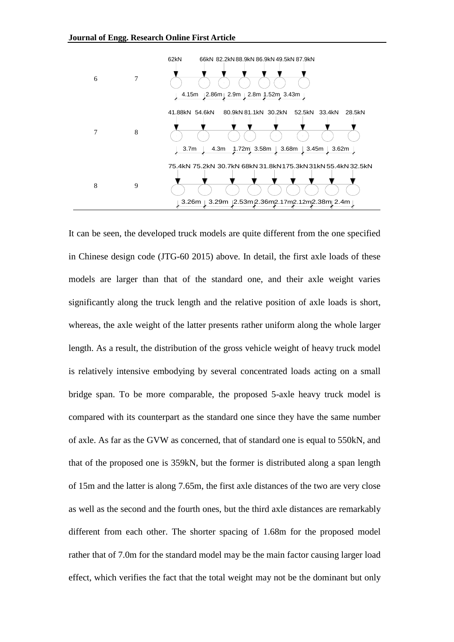

It can be seen, the developed truck models are quite different from the one specified in Chinese design code (JTG-60 2015) above. In detail, the first axle loads of these models are larger than that of the standard one, and their axle weight varies significantly along the truck length and the relative position of axle loads is short, whereas, the axle weight of the latter presents rather uniform along the whole larger length. As a result, the distribution of the gross vehicle weight of heavy truck model is relatively intensive embodying by several concentrated loads acting on a small bridge span. To be more comparable, the proposed 5-axle heavy truck model is compared with its counterpart as the standard one since they have the same number of axle. As far as the GVW as concerned, that of standard one is equal to 550kN, and that of the proposed one is 359kN, but the former is distributed along a span length of 15m and the latter is along 7.65m, the first axle distances of the two are very close as well as the second and the fourth ones, but the third axle distances are remarkably different from each other. The shorter spacing of 1.68m for the proposed model rather that of 7.0m for the standard model may be the main factor causing larger load effect, which verifies the fact that the total weight may not be the dominant but only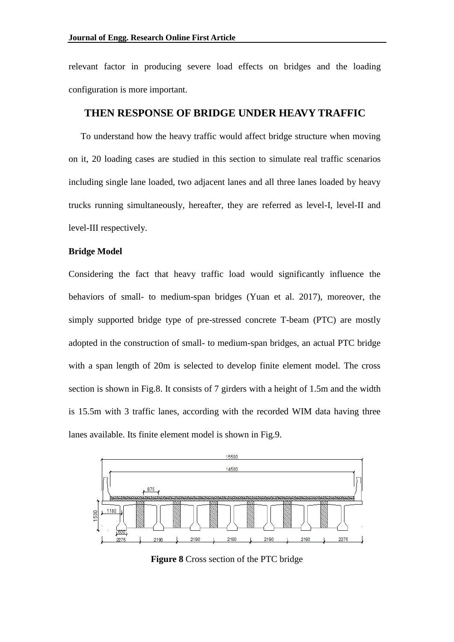relevant factor in producing severe load effects on bridges and the loading configuration is more important.

# **THEN RESPONSE OF BRIDGE UNDER HEAVY TRAFFIC**

 To understand how the heavy traffic would affect bridge structure when moving on it, 20 loading cases are studied in this section to simulate real traffic scenarios including single lane loaded, two adjacent lanes and all three lanes loaded by heavy trucks running simultaneously, hereafter, they are referred as level-I, level-II and level-III respectively.

#### **Bridge Model**

Considering the fact that heavy traffic load would significantly influence the behaviors of small- to medium-span bridges (Yuan et al. 2017), moreover, the simply supported bridge type of pre-stressed concrete T-beam (PTC) are mostly adopted in the construction of small- to medium-span bridges, an actual PTC bridge with a span length of 20m is selected to develop finite element model. The cross section is shown in Fig.8. It consists of 7 girders with a height of 1.5m and the width is 15.5m with 3 traffic lanes, according with the recorded WIM data having three lanes available. Its finite element model is shown in Fig.9.



**Figure 8** Cross section of the PTC bridge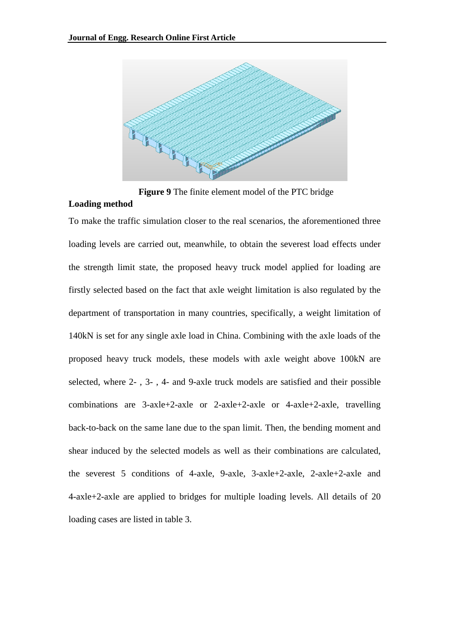

**Figure 9** The finite element model of the PTC bridge **Loading method**

To make the traffic simulation closer to the real scenarios, the aforementioned three loading levels are carried out, meanwhile, to obtain the severest load effects under the strength limit state, the proposed heavy truck model applied for loading are firstly selected based on the fact that axle weight limitation is also regulated by the department of transportation in many countries, specifically, a weight limitation of 140kN is set for any single axle load in China. Combining with the axle loads of the proposed heavy truck models, these models with axle weight above 100kN are selected, where 2- , 3- , 4- and 9-axle truck models are satisfied and their possible combinations are 3-axle+2-axle or 2-axle+2-axle or 4-axle+2-axle, travelling back-to-back on the same lane due to the span limit. Then, the bending moment and shear induced by the selected models as well as their combinations are calculated, the severest 5 conditions of 4-axle, 9-axle, 3-axle+2-axle, 2-axle+2-axle and 4-axle+2-axle are applied to bridges for multiple loading levels. All details of 20 loading cases are listed in table 3.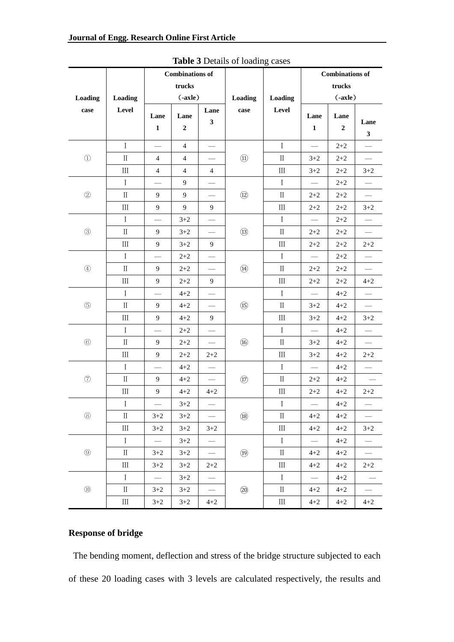|                                 |                                 | <b>Combinations of</b>   |                          |                          |                |                        | <b>Combinations of</b>   |                        |                      |
|---------------------------------|---------------------------------|--------------------------|--------------------------|--------------------------|----------------|------------------------|--------------------------|------------------------|----------------------|
|                                 |                                 | trucks                   |                          |                          |                |                        | trucks                   |                        |                      |
| Loading                         | Loading                         | $(-axle)$                |                          |                          | Loading        | Loading                | $(-axle)$                |                        |                      |
| case                            | Level                           | Lane<br>$\mathbf{1}$     | Lane<br>$\boldsymbol{2}$ | Lane<br>$\mathbf{3}$     | case           | Level                  | Lane<br>$\mathbf{1}$     | Lane<br>$\overline{2}$ | Lane<br>$\mathbf{3}$ |
|                                 | $\bf I$                         | and a                    | $\overline{4}$           |                          |                | $\bf I$                | $\equiv$                 | $2 + 2$                |                      |
| $\bigcirc$                      | $\rm II$                        | $\overline{4}$           | $\overline{4}$           |                          | $\circled{1}$  | $\rm II$               | $3 + 2$                  | $2 + 2$                |                      |
|                                 | $\rm III$                       | $\overline{4}$           | $\overline{4}$           | 4                        |                | $\rm III$              | $3 + 2$                  | $2 + 2$                | $3 + 2$              |
|                                 | $\mathbf I$                     | $\overline{\phantom{0}}$ | 9                        | $\overline{\phantom{0}}$ |                | $\bf{I}$               |                          | $2 + 2$                |                      |
| $\circled{2}$                   | $\mathop{\mathrm{II}}$          | 9                        | 9                        | $\overline{\phantom{a}}$ | $\circled{12}$ | $\rm II$               | $2 + 2$                  | $2 + 2$                |                      |
|                                 | $\rm III$                       | $\overline{9}$           | 9                        | 9                        |                | $\rm III$              | $2 + 2$                  | $2 + 2$                | $3 + 2$              |
|                                 | $\bf{I}$                        | ÷.                       | $3 + 2$                  | $\overline{\phantom{0}}$ |                | $\bf{I}$               | $\frac{1}{1}$            | $2+2$                  |                      |
| $\circledS$                     | $\rm II$                        | 9                        | $3+2$                    | $\overline{\phantom{0}}$ | $\circled{13}$ | $\rm II$               | $2 + 2$                  | $2+2$                  |                      |
|                                 | $\rm III$                       | $\overline{9}$           | $3 + 2$                  | 9                        |                | $\rm III$              | $2 + 2$                  | $2 + 2$                | $2 + 2$              |
|                                 | $\mathbf I$                     | $\overline{\phantom{0}}$ | $2 + 2$                  |                          |                | $\bf{I}$               | $\overline{\phantom{0}}$ | $2 + 2$                |                      |
| $\circled{4}$                   | $\rm II$                        | 9                        | $2 + 2$                  |                          | $\circled{4}$  | $\rm II$               | $2 + 2$                  | $2 + 2$                |                      |
|                                 | $\rm III$                       | $\overline{9}$           | $2 + 2$                  | 9                        |                | $\rm III$              | $2 + 2$                  | $2 + 2$                | $4 + 2$              |
|                                 | $\bf{I}$                        |                          | $4 + 2$                  |                          |                | $\bf{I}$               | $\overline{\phantom{0}}$ | $4 + 2$                |                      |
| $\circledS$                     | $\rm II$                        | $\overline{9}$           | $4 + 2$                  | $\overline{\phantom{0}}$ | $\circled{15}$ | $\rm II$               | $3 + 2$                  | $4 + 2$                |                      |
|                                 | $\rm III$                       | $\overline{9}$           | $4 + 2$                  | 9                        |                | $\rm III$              | $3 + 2$                  | $4 + 2$                | $3 + 2$              |
|                                 | $\bf{I}$                        | $\equiv$                 | $2 + 2$                  |                          |                | $\bf{I}$               | $\overline{\phantom{0}}$ | $4 + 2$                |                      |
| $\circledcirc$                  | $\rm II$                        | $\boldsymbol{9}$         | $2 + 2$                  | $\frac{1}{2}$            | $\circledR$    | $\mathbf{I}$           | $3 + 2$                  | $4 + 2$                | $\equiv$             |
|                                 | $\rm III$                       | 9                        | $2 + 2$                  | $2 + 2$                  |                | $\rm III$              | $3 + 2$                  | $4 + 2$                | $2 + 2$              |
|                                 | $\mathbf I$                     |                          | $4 + 2$                  |                          |                | $\bf{I}$               | $\frac{1}{1}$            | $4 + 2$                |                      |
| $\circled7$                     | $\rm II$                        | $\overline{9}$           | $4 + 2$                  |                          | $\circled{1}$  | $\rm II$               | $2 + 2$                  | $4 + 2$                |                      |
|                                 | $\rm III$                       | $\overline{9}$           | $4 + 2$                  | $4 + 2$                  |                | $\rm III$              | $2 + 2$                  | $4 + 2$                | $2 + 2$              |
|                                 | $\bf I$                         |                          | $3 + 2$                  |                          |                | $\rm I$                |                          | $4 + 2$                | $\equiv$             |
| $\circledS$                     | $\rm II$                        | $3 + 2$                  | $3 + 2$                  |                          | $\circledR$    | $\mathop{\mathrm{II}}$ | $4 + 2$                  | $4 + 2$                |                      |
|                                 | $\rm III$                       | $3 + 2$                  | $3 + 2$                  | $3+2$                    |                | $\rm III$              | $4 + 2$                  | $4 + 2$                | $3 + 2$              |
|                                 | $\mathbf I$                     |                          | $3 + 2$                  |                          |                | $\bf{I}$               | $\overline{\phantom{0}}$ | $4 + 2$                |                      |
| $\circledS$                     | $\mathop{\mathrm{II}}\nolimits$ | $3 + 2$                  | $3 + 2$                  |                          | $\circled{1}$  | П                      | $4 + 2$                  | $4 + 2$                |                      |
|                                 | Ш                               | $3+2$                    | $3+2$                    | $2 + 2$                  |                | $\rm III$              | $4 + 2$                  | $4 + 2$                | $2+2$                |
|                                 | $\rm I$                         |                          | $3 + 2$                  |                          |                | $\mathbf I$            | $\frac{1}{2}$            | $4 + 2$                |                      |
| $\textcircled{\scriptsize{10}}$ | $\mathop{\mathrm{II}}$          | $3+2$                    | $3 + 2$                  |                          | 20             | П                      | $4 + 2$                  | $4 + 2$                |                      |
|                                 | Ш                               | $3 + 2$                  | $3 + 2$                  | $4 + 2$                  |                | III                    | $4 + 2$                  | $4 + 2$                | $4 + 2$              |

**Table 3** Details of loading cases

# **Response of bridge**

The bending moment, deflection and stress of the bridge structure subjected to each of these 20 loading cases with 3 levels are calculated respectively, the results and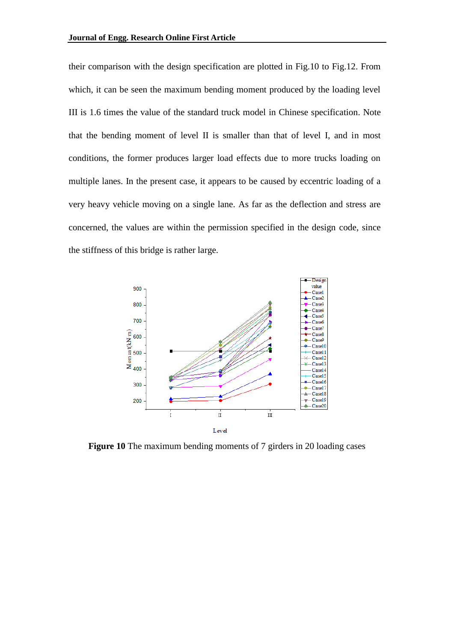their comparison with the design specification are plotted in Fig.10 to Fig.12. From which, it can be seen the maximum bending moment produced by the loading level III is 1.6 times the value of the standard truck model in Chinese specification. Note that the bending moment of level II is smaller than that of level I, and in most conditions, the former produces larger load effects due to more trucks loading on multiple lanes. In the present case, it appears to be caused by eccentric loading of a very heavy vehicle moving on a single lane. As far as the deflection and stress are concerned, the values are within the permission specified in the design code, since the stiffness of this bridge is rather large.



**Figure 10** The maximum bending moments of 7 girders in 20 loading cases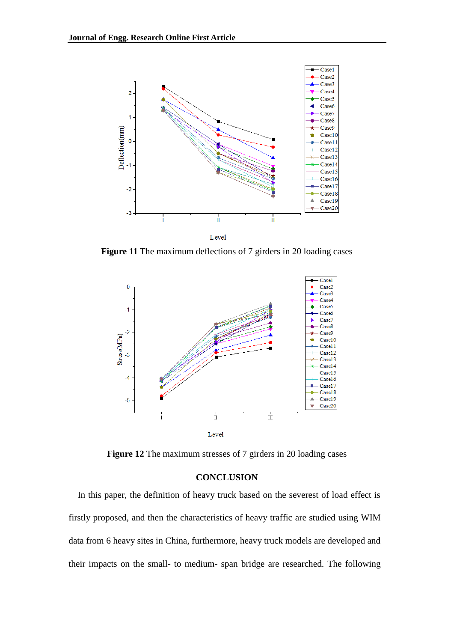

**Figure 11** The maximum deflections of 7 girders in 20 loading cases



**Figure 12** The maximum stresses of 7 girders in 20 loading cases

#### **CONCLUSION**

 In this paper, the definition of heavy truck based on the severest of load effect is firstly proposed, and then the characteristics of heavy traffic are studied using WIM data from 6 heavy sites in China, furthermore, heavy truck models are developed and their impacts on the small- to medium- span bridge are researched. The following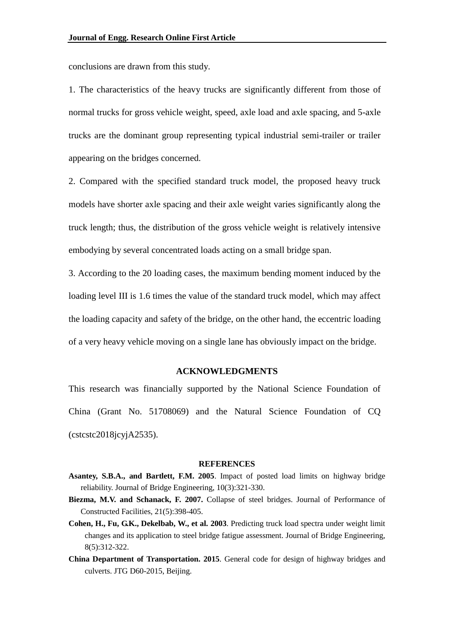conclusions are drawn from this study.

1. The characteristics of the heavy trucks are significantly different from those of normal trucks for gross vehicle weight, speed, axle load and axle spacing, and 5-axle trucks are the dominant group representing typical industrial semi-trailer or trailer appearing on the bridges concerned.

2. Compared with the specified standard truck model, the proposed heavy truck models have shorter axle spacing and their axle weight varies significantly along the truck length; thus, the distribution of the gross vehicle weight is relatively intensive embodying by several concentrated loads acting on a small bridge span.

3. According to the 20 loading cases, the maximum bending moment induced by the loading level III is 1.6 times the value of the standard truck model, which may affect the loading capacity and safety of the bridge, on the other hand, the eccentric loading of a very heavy vehicle moving on a single lane has obviously impact on the bridge.

#### **ACKNOWLEDGMENTS**

This research was financially supported by the National Science Foundation of China (Grant No. 51708069) and the Natural Science Foundation of CQ (cstcstc2018jcyjA2535).

#### **REFERENCES**

- **Asantey, S.B.A., and Bartlett, F.M. 2005**. Impact of posted load limits on highway bridge reliability. Journal of Bridge Engineering, 10(3):321-330.
- **Biezma, M.V. and Schanack, F. 2007.** Collapse of steel bridges. Journal of Performance of Constructed Facilities, 21(5):398-405.
- **Cohen, H., Fu, G.K., Dekelbab, W., et al. 2003**. Predicting truck load spectra under weight limit changes and its application to steel bridge fatigue assessment. Journal of Bridge Engineering, 8(5):312-322.
- **China Department of Transportation. 2015**. General code for design of highway bridges and culverts. JTG D60-2015, Beijing.